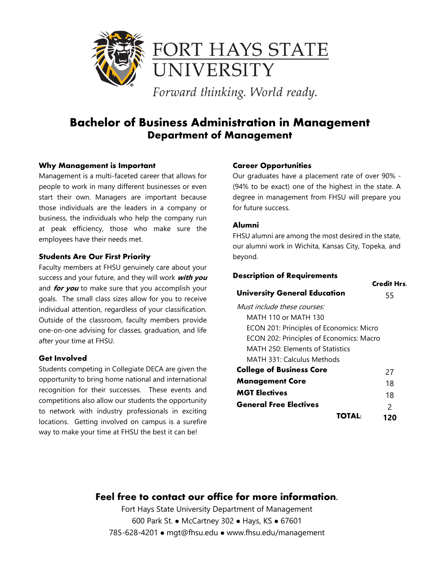

Forward thinking. World ready.

## **Bachelor of Business Administration in Management Department of Management**

#### **Why Management is Important**

Management is a multi-faceted career that allows for people to work in many different businesses or even start their own. Managers are important because those individuals are the leaders in a company or business, the individuals who help the company run at peak efficiency, those who make sure the employees have their needs met.

#### **Students Are Our First Priority**

Faculty members at FHSU genuinely care about your success and your future, and they will work **with you** and **for you** to make sure that you accomplish your goals. The small class sizes allow for you to receive individual attention, regardless of your classification. Outside of the classroom, faculty members provide one-on-one advising for classes, graduation, and life after your time at FHSU.

#### **Get Involved**

Students competing in Collegiate DECA are given the opportunity to bring home national and international recognition for their successes. These events and competitions also allow our students the opportunity to network with industry professionals in exciting locations. Getting involved on campus is a surefire way to make your time at FHSU the best it can be!

#### **Career Opportunities**

Our graduates have a placement rate of over 90% - (94% to be exact) one of the highest in the state. A degree in management from FHSU will prepare you for future success.

#### **Alumni**

FHSU alumni are among the most desired in the state, our alumni work in Wichita, Kansas City, Topeka, and beyond.

**Credit Hrs.**

#### **Description of Requirements**

| <b>University General Education</b>      | 55            |
|------------------------------------------|---------------|
| Must include these courses:              |               |
| MATH 110 or MATH 130                     |               |
| ECON 201: Principles of Economics: Micro |               |
| ECON 202: Principles of Economics: Macro |               |
| MATH 250: Elements of Statistics         |               |
| MATH 331: Calculus Methods               |               |
| <b>College of Business Core</b>          | 27            |
| <b>Management Core</b>                   | 18            |
| <b>MGT Electives</b>                     | 18            |
| <b>General Free Electives</b>            | $\mathcal{P}$ |
|                                          | 120           |

### **Feel free to contact our office for more information.**

Fort Hays State University Department of Management 600 Park St. • McCartney 302 • Hays, KS • 67601 785-628-4201 mgt@fhsu.edu www.fhsu.edu/management